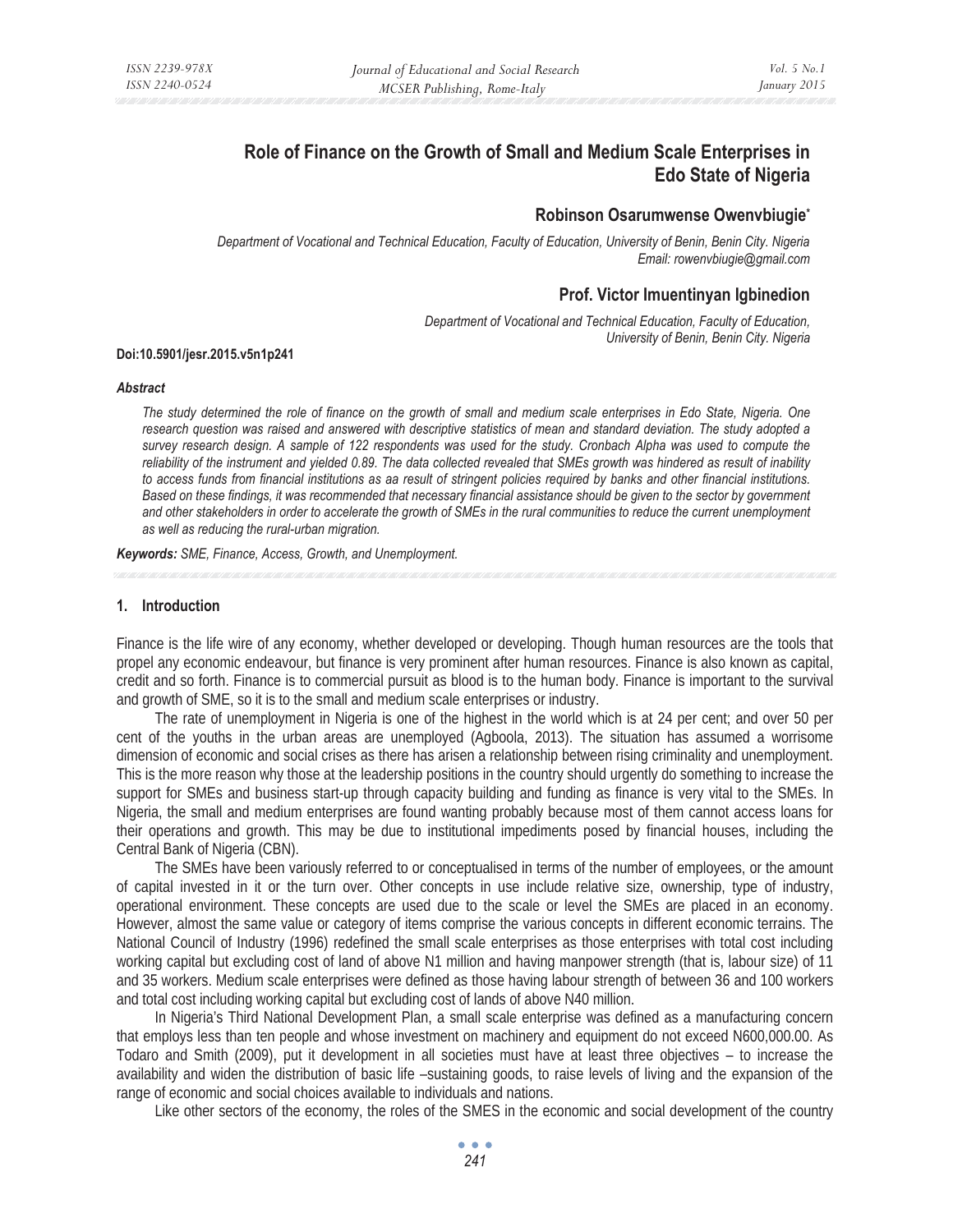# **Role of Finance on the Growth of Small and Medium Scale Enterprises in Edo State of Nigeria**

# **Robinson Osarumwense Owenvbiugie\***

*Department of Vocational and Technical Education, Faculty of Education, University of Benin, Benin City. Nigeria Email: rowenvbiugie@gmail.com* 

# **Prof. Victor Imuentinyan Igbinedion**

*Department of Vocational and Technical Education, Faculty of Education, University of Benin, Benin City. Nigeria* 

## **Doi:10.5901/jesr.2015.v5n1p241**

#### *Abstract*

*The study determined the role of finance on the growth of small and medium scale enterprises in Edo State, Nigeria. One research question was raised and answered with descriptive statistics of mean and standard deviation. The study adopted a*  survey research design. A sample of 122 respondents was used for the study. Cronbach Alpha was used to compute the reliability of the instrument and yielded 0.89. The data collected revealed that SMEs growth was hindered as result of inability *to access funds from financial institutions as aa result of stringent policies required by banks and other financial institutions. Based on these findings, it was recommended that necessary financial assistance should be given to the sector by government*  and other stakeholders in order to accelerate the growth of SMEs in the rural communities to reduce the current unemployment *as well as reducing the rural-urban migration.* 

*Keywords: SME, Finance, Access, Growth, and Unemployment.*

# **1. Introduction**

Finance is the life wire of any economy, whether developed or developing. Though human resources are the tools that propel any economic endeavour, but finance is very prominent after human resources. Finance is also known as capital, credit and so forth. Finance is to commercial pursuit as blood is to the human body. Finance is important to the survival and growth of SME, so it is to the small and medium scale enterprises or industry.

The rate of unemployment in Nigeria is one of the highest in the world which is at 24 per cent; and over 50 per cent of the youths in the urban areas are unemployed (Agboola, 2013). The situation has assumed a worrisome dimension of economic and social crises as there has arisen a relationship between rising criminality and unemployment. This is the more reason why those at the leadership positions in the country should urgently do something to increase the support for SMEs and business start-up through capacity building and funding as finance is very vital to the SMEs. In Nigeria, the small and medium enterprises are found wanting probably because most of them cannot access loans for their operations and growth. This may be due to institutional impediments posed by financial houses, including the Central Bank of Nigeria (CBN).

The SMEs have been variously referred to or conceptualised in terms of the number of employees, or the amount of capital invested in it or the turn over. Other concepts in use include relative size, ownership, type of industry, operational environment. These concepts are used due to the scale or level the SMEs are placed in an economy. However, almost the same value or category of items comprise the various concepts in different economic terrains. The National Council of Industry (1996) redefined the small scale enterprises as those enterprises with total cost including working capital but excluding cost of land of above N1 million and having manpower strength (that is, labour size) of 11 and 35 workers. Medium scale enterprises were defined as those having labour strength of between 36 and 100 workers and total cost including working capital but excluding cost of lands of above N40 million.

In Nigeria's Third National Development Plan, a small scale enterprise was defined as a manufacturing concern that employs less than ten people and whose investment on machinery and equipment do not exceed N600,000.00. As Todaro and Smith (2009), put it development in all societies must have at least three objectives – to increase the availability and widen the distribution of basic life –sustaining goods, to raise levels of living and the expansion of the range of economic and social choices available to individuals and nations.

Like other sectors of the economy, the roles of the SMES in the economic and social development of the country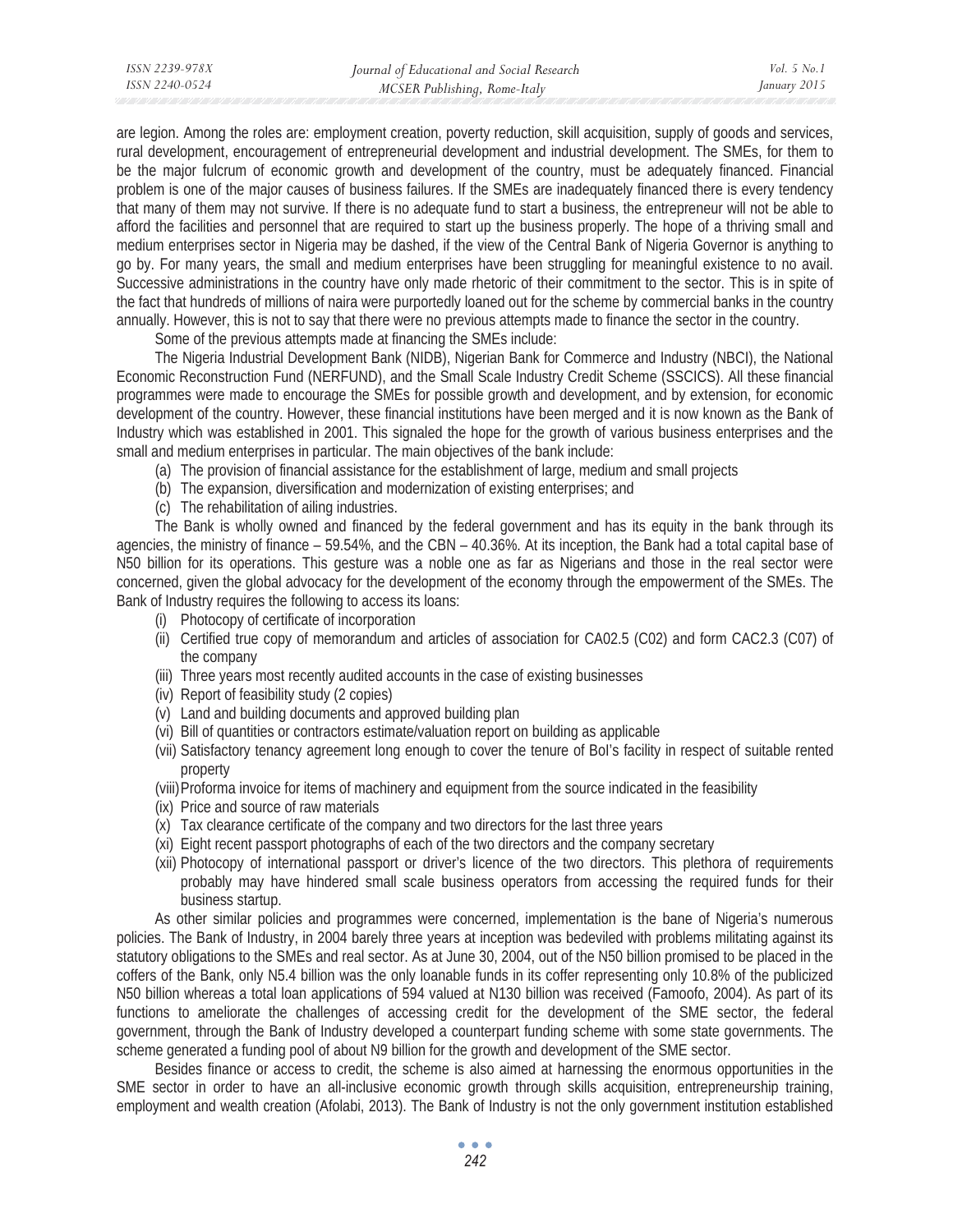are legion. Among the roles are: employment creation, poverty reduction, skill acquisition, supply of goods and services, rural development, encouragement of entrepreneurial development and industrial development. The SMEs, for them to be the major fulcrum of economic growth and development of the country, must be adequately financed. Financial problem is one of the major causes of business failures. If the SMEs are inadequately financed there is every tendency that many of them may not survive. If there is no adequate fund to start a business, the entrepreneur will not be able to afford the facilities and personnel that are required to start up the business properly. The hope of a thriving small and medium enterprises sector in Nigeria may be dashed, if the view of the Central Bank of Nigeria Governor is anything to go by. For many years, the small and medium enterprises have been struggling for meaningful existence to no avail. Successive administrations in the country have only made rhetoric of their commitment to the sector. This is in spite of the fact that hundreds of millions of naira were purportedly loaned out for the scheme by commercial banks in the country annually. However, this is not to say that there were no previous attempts made to finance the sector in the country.

Some of the previous attempts made at financing the SMEs include:

The Nigeria Industrial Development Bank (NIDB), Nigerian Bank for Commerce and Industry (NBCI), the National Economic Reconstruction Fund (NERFUND), and the Small Scale Industry Credit Scheme (SSCICS). All these financial programmes were made to encourage the SMEs for possible growth and development, and by extension, for economic development of the country. However, these financial institutions have been merged and it is now known as the Bank of Industry which was established in 2001. This signaled the hope for the growth of various business enterprises and the small and medium enterprises in particular. The main objectives of the bank include:

- (a) The provision of financial assistance for the establishment of large, medium and small projects
- (b) The expansion, diversification and modernization of existing enterprises; and
- (c) The rehabilitation of ailing industries.

The Bank is wholly owned and financed by the federal government and has its equity in the bank through its agencies, the ministry of finance – 59.54%, and the CBN – 40.36%. At its inception, the Bank had a total capital base of N50 billion for its operations. This gesture was a noble one as far as Nigerians and those in the real sector were concerned, given the global advocacy for the development of the economy through the empowerment of the SMEs. The Bank of Industry requires the following to access its loans:

- (i) Photocopy of certificate of incorporation
- (ii) Certified true copy of memorandum and articles of association for CA02.5 (C02) and form CAC2.3 (C07) of the company
- (iii) Three years most recently audited accounts in the case of existing businesses
- (iv) Report of feasibility study (2 copies)
- (v) Land and building documents and approved building plan
- (vi) Bill of quantities or contractors estimate/valuation report on building as applicable
- (vii) Satisfactory tenancy agreement long enough to cover the tenure of BoI's facility in respect of suitable rented property
- (viii)Proforma invoice for items of machinery and equipment from the source indicated in the feasibility
- (ix) Price and source of raw materials
- (x) Tax clearance certificate of the company and two directors for the last three years
- (xi) Eight recent passport photographs of each of the two directors and the company secretary
- (xii) Photocopy of international passport or driver's licence of the two directors. This plethora of requirements probably may have hindered small scale business operators from accessing the required funds for their business startup.

As other similar policies and programmes were concerned, implementation is the bane of Nigeria's numerous policies. The Bank of Industry, in 2004 barely three years at inception was bedeviled with problems militating against its statutory obligations to the SMEs and real sector. As at June 30, 2004, out of the N50 billion promised to be placed in the coffers of the Bank, only N5.4 billion was the only loanable funds in its coffer representing only 10.8% of the publicized N50 billion whereas a total loan applications of 594 valued at N130 billion was received (Famoofo, 2004). As part of its functions to ameliorate the challenges of accessing credit for the development of the SME sector, the federal government, through the Bank of Industry developed a counterpart funding scheme with some state governments. The scheme generated a funding pool of about N9 billion for the growth and development of the SME sector.

Besides finance or access to credit, the scheme is also aimed at harnessing the enormous opportunities in the SME sector in order to have an all-inclusive economic growth through skills acquisition, entrepreneurship training, employment and wealth creation (Afolabi, 2013). The Bank of Industry is not the only government institution established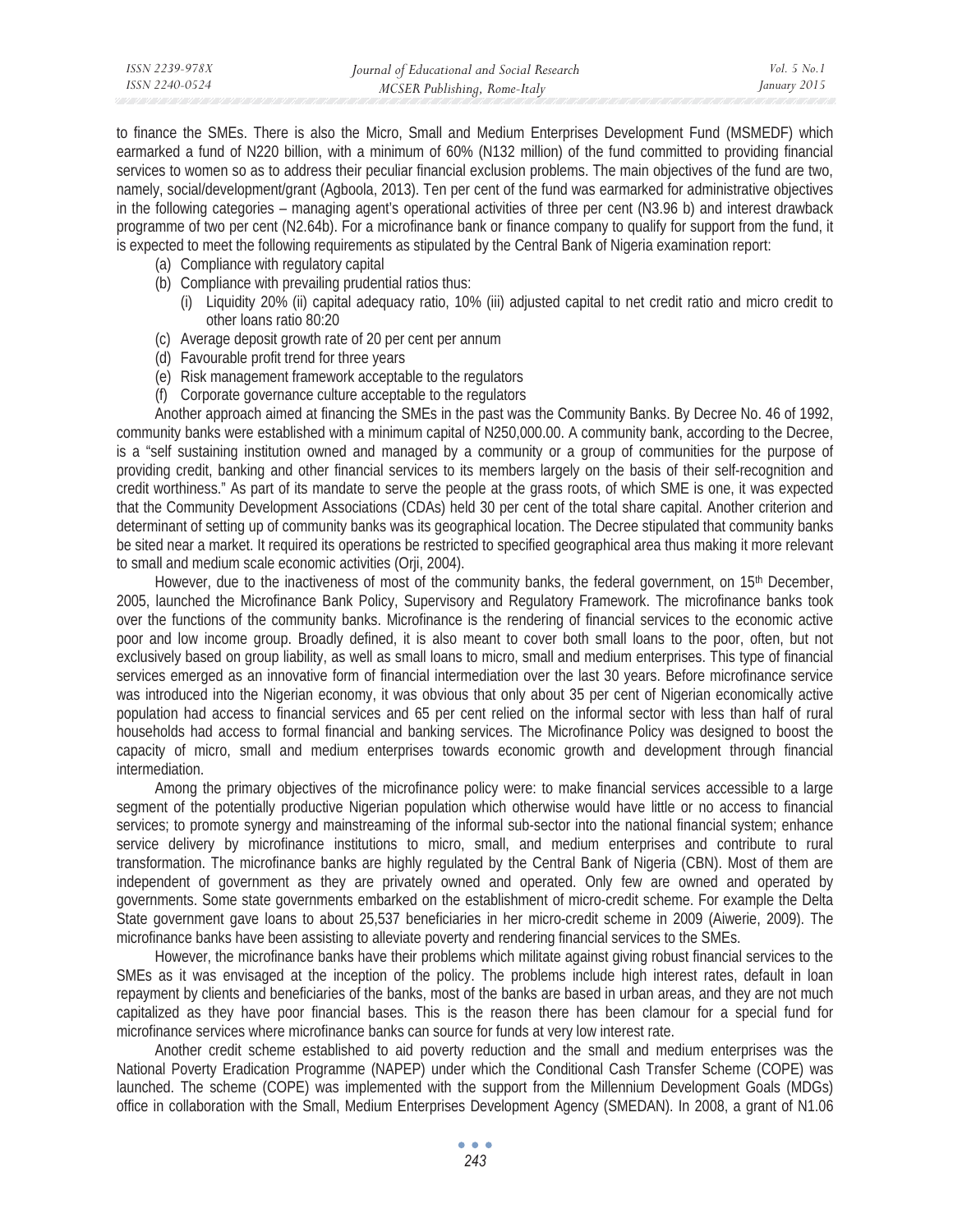to finance the SMEs. There is also the Micro, Small and Medium Enterprises Development Fund (MSMEDF) which earmarked a fund of N220 billion, with a minimum of 60% (N132 million) of the fund committed to providing financial services to women so as to address their peculiar financial exclusion problems. The main objectives of the fund are two, namely, social/development/grant (Agboola, 2013). Ten per cent of the fund was earmarked for administrative objectives in the following categories – managing agent's operational activities of three per cent (N3.96 b) and interest drawback programme of two per cent (N2.64b). For a microfinance bank or finance company to qualify for support from the fund, it is expected to meet the following requirements as stipulated by the Central Bank of Nigeria examination report:

- (a) Compliance with regulatory capital
- (b) Compliance with prevailing prudential ratios thus:
	- (i) Liquidity 20% (ii) capital adequacy ratio, 10% (iii) adjusted capital to net credit ratio and micro credit to other loans ratio 80:20
- (c) Average deposit growth rate of 20 per cent per annum
- (d) Favourable profit trend for three years
- (e) Risk management framework acceptable to the regulators
- (f) Corporate governance culture acceptable to the regulators

Another approach aimed at financing the SMEs in the past was the Community Banks. By Decree No. 46 of 1992, community banks were established with a minimum capital of N250,000.00. A community bank, according to the Decree, is a "self sustaining institution owned and managed by a community or a group of communities for the purpose of providing credit, banking and other financial services to its members largely on the basis of their self-recognition and credit worthiness." As part of its mandate to serve the people at the grass roots, of which SME is one, it was expected that the Community Development Associations (CDAs) held 30 per cent of the total share capital. Another criterion and determinant of setting up of community banks was its geographical location. The Decree stipulated that community banks be sited near a market. It required its operations be restricted to specified geographical area thus making it more relevant to small and medium scale economic activities (Orji, 2004).

However, due to the inactiveness of most of the community banks, the federal government, on 15<sup>th</sup> December, 2005, launched the Microfinance Bank Policy, Supervisory and Regulatory Framework. The microfinance banks took over the functions of the community banks. Microfinance is the rendering of financial services to the economic active poor and low income group. Broadly defined, it is also meant to cover both small loans to the poor, often, but not exclusively based on group liability, as well as small loans to micro, small and medium enterprises. This type of financial services emerged as an innovative form of financial intermediation over the last 30 years. Before microfinance service was introduced into the Nigerian economy, it was obvious that only about 35 per cent of Nigerian economically active population had access to financial services and 65 per cent relied on the informal sector with less than half of rural households had access to formal financial and banking services. The Microfinance Policy was designed to boost the capacity of micro, small and medium enterprises towards economic growth and development through financial intermediation.

Among the primary objectives of the microfinance policy were: to make financial services accessible to a large segment of the potentially productive Nigerian population which otherwise would have little or no access to financial services; to promote synergy and mainstreaming of the informal sub-sector into the national financial system; enhance service delivery by microfinance institutions to micro, small, and medium enterprises and contribute to rural transformation. The microfinance banks are highly regulated by the Central Bank of Nigeria (CBN). Most of them are independent of government as they are privately owned and operated. Only few are owned and operated by governments. Some state governments embarked on the establishment of micro-credit scheme. For example the Delta State government gave loans to about 25,537 beneficiaries in her micro-credit scheme in 2009 (Aiwerie, 2009). The microfinance banks have been assisting to alleviate poverty and rendering financial services to the SMEs.

However, the microfinance banks have their problems which militate against giving robust financial services to the SMEs as it was envisaged at the inception of the policy. The problems include high interest rates, default in loan repayment by clients and beneficiaries of the banks, most of the banks are based in urban areas, and they are not much capitalized as they have poor financial bases. This is the reason there has been clamour for a special fund for microfinance services where microfinance banks can source for funds at very low interest rate.

Another credit scheme established to aid poverty reduction and the small and medium enterprises was the National Poverty Eradication Programme (NAPEP) under which the Conditional Cash Transfer Scheme (COPE) was launched. The scheme (COPE) was implemented with the support from the Millennium Development Goals (MDGs) office in collaboration with the Small, Medium Enterprises Development Agency (SMEDAN). In 2008, a grant of N1.06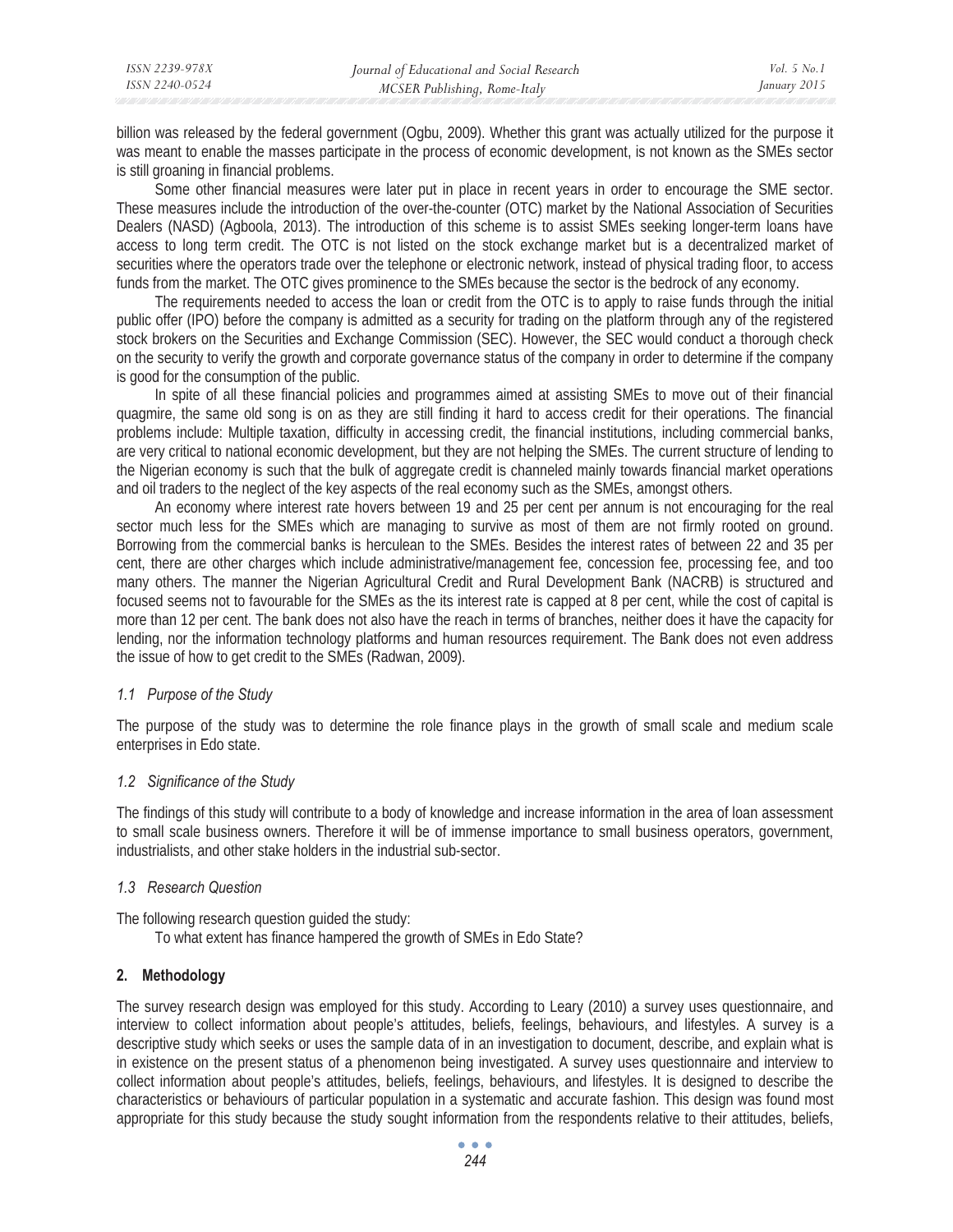| ISSN 2239-978X | Journal of Educational and Social Research | <i>Vol.</i> 5 $No.1$ |
|----------------|--------------------------------------------|----------------------|
| ISSN 2240-0524 | MCSER Publishing, Rome-Italy               | January 2015         |

billion was released by the federal government (Ogbu, 2009). Whether this grant was actually utilized for the purpose it was meant to enable the masses participate in the process of economic development, is not known as the SMEs sector is still groaning in financial problems.

Some other financial measures were later put in place in recent years in order to encourage the SME sector. These measures include the introduction of the over-the-counter (OTC) market by the National Association of Securities Dealers (NASD) (Agboola, 2013). The introduction of this scheme is to assist SMEs seeking longer-term loans have access to long term credit. The OTC is not listed on the stock exchange market but is a decentralized market of securities where the operators trade over the telephone or electronic network, instead of physical trading floor, to access funds from the market. The OTC gives prominence to the SMEs because the sector is the bedrock of any economy.

The requirements needed to access the loan or credit from the OTC is to apply to raise funds through the initial public offer (IPO) before the company is admitted as a security for trading on the platform through any of the registered stock brokers on the Securities and Exchange Commission (SEC). However, the SEC would conduct a thorough check on the security to verify the growth and corporate governance status of the company in order to determine if the company is good for the consumption of the public.

In spite of all these financial policies and programmes aimed at assisting SMEs to move out of their financial quagmire, the same old song is on as they are still finding it hard to access credit for their operations. The financial problems include: Multiple taxation, difficulty in accessing credit, the financial institutions, including commercial banks, are very critical to national economic development, but they are not helping the SMEs. The current structure of lending to the Nigerian economy is such that the bulk of aggregate credit is channeled mainly towards financial market operations and oil traders to the neglect of the key aspects of the real economy such as the SMEs, amongst others.

An economy where interest rate hovers between 19 and 25 per cent per annum is not encouraging for the real sector much less for the SMEs which are managing to survive as most of them are not firmly rooted on ground. Borrowing from the commercial banks is herculean to the SMEs. Besides the interest rates of between 22 and 35 per cent, there are other charges which include administrative/management fee, concession fee, processing fee, and too many others. The manner the Nigerian Agricultural Credit and Rural Development Bank (NACRB) is structured and focused seems not to favourable for the SMEs as the its interest rate is capped at 8 per cent, while the cost of capital is more than 12 per cent. The bank does not also have the reach in terms of branches, neither does it have the capacity for lending, nor the information technology platforms and human resources requirement. The Bank does not even address the issue of how to get credit to the SMEs (Radwan, 2009).

## *1.1 Purpose of the Study*

The purpose of the study was to determine the role finance plays in the growth of small scale and medium scale enterprises in Edo state.

### *1.2 Significance of the Study*

The findings of this study will contribute to a body of knowledge and increase information in the area of loan assessment to small scale business owners. Therefore it will be of immense importance to small business operators, government, industrialists, and other stake holders in the industrial sub-sector.

#### *1.3 Research Question*

The following research question guided the study:

To what extent has finance hampered the growth of SMEs in Edo State?

# **2. Methodology**

The survey research design was employed for this study. According to Leary (2010) a survey uses questionnaire, and interview to collect information about people's attitudes, beliefs, feelings, behaviours, and lifestyles. A survey is a descriptive study which seeks or uses the sample data of in an investigation to document, describe, and explain what is in existence on the present status of a phenomenon being investigated. A survey uses questionnaire and interview to collect information about people's attitudes, beliefs, feelings, behaviours, and lifestyles. It is designed to describe the characteristics or behaviours of particular population in a systematic and accurate fashion. This design was found most appropriate for this study because the study sought information from the respondents relative to their attitudes, beliefs,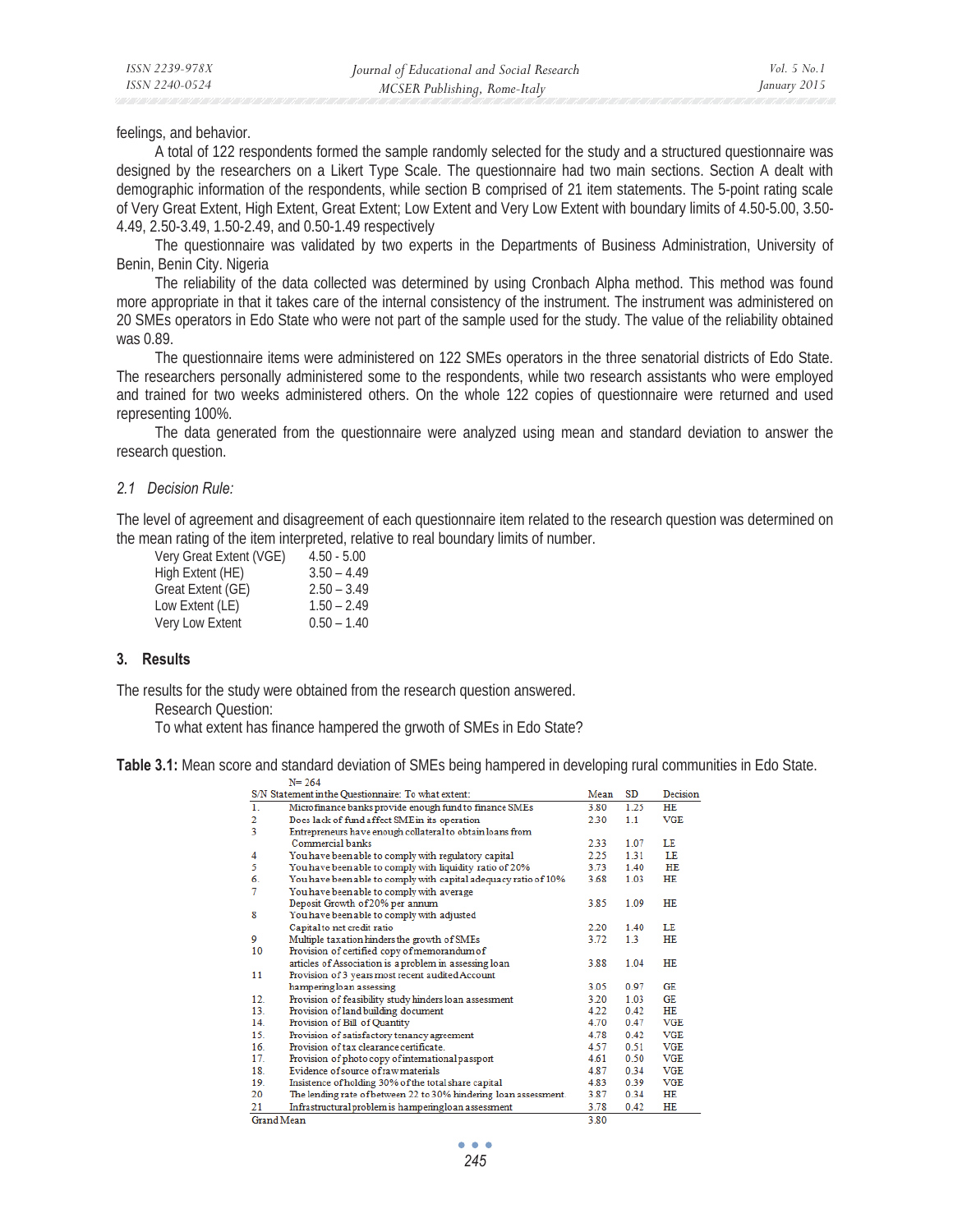feelings, and behavior.

A total of 122 respondents formed the sample randomly selected for the study and a structured questionnaire was designed by the researchers on a Likert Type Scale. The questionnaire had two main sections. Section A dealt with demographic information of the respondents, while section B comprised of 21 item statements. The 5-point rating scale of Very Great Extent, High Extent, Great Extent; Low Extent and Very Low Extent with boundary limits of 4.50-5.00, 3.50- 4.49, 2.50-3.49, 1.50-2.49, and 0.50-1.49 respectively

The questionnaire was validated by two experts in the Departments of Business Administration, University of Benin, Benin City. Nigeria

The reliability of the data collected was determined by using Cronbach Alpha method. This method was found more appropriate in that it takes care of the internal consistency of the instrument. The instrument was administered on 20 SMEs operators in Edo State who were not part of the sample used for the study. The value of the reliability obtained was 0.89.

The questionnaire items were administered on 122 SMEs operators in the three senatorial districts of Edo State. The researchers personally administered some to the respondents, while two research assistants who were employed and trained for two weeks administered others. On the whole 122 copies of questionnaire were returned and used representing 100%.

The data generated from the questionnaire were analyzed using mean and standard deviation to answer the research question.

### *2.1 Decision Rule:*

The level of agreement and disagreement of each questionnaire item related to the research question was determined on the mean rating of the item interpreted, relative to real boundary limits of number.

| Very Great Extent (VGE) | $4.50 - 5.00$ |
|-------------------------|---------------|
| High Extent (HE)        | $3.50 - 4.49$ |
| Great Extent (GE)       | $2.50 - 3.49$ |
| Low Extent (LE)         | $1.50 - 2.49$ |
| Very Low Extent         | $0.50 - 1.40$ |

# **3. Results**

The results for the study were obtained from the research question answered.

Research Question:

To what extent has finance hampered the grwoth of SMEs in Edo State?

**Table 3.1:** Mean score and standard deviation of SMEs being hampered in developing rural communities in Edo State.

|                                                     | $N = 264$                                                        |      |      |            |
|-----------------------------------------------------|------------------------------------------------------------------|------|------|------------|
| S/N Statement in the Questionnaire: To what extent: |                                                                  | Mean | SD   | Decision   |
| 1 <sub>1</sub>                                      | Microfinance banks provide enough fund to finance SMEs           | 3.80 | 1.25 | HE         |
| 2                                                   | Does lack of fund affect SME in its operation                    | 2.30 | 1.1  | <b>VGE</b> |
| 3                                                   | Entrepreneurs have enough collateral to obtain loans from        |      |      |            |
|                                                     | Commercial banks                                                 | 2.33 | 1.07 | LE         |
| 4                                                   | You have been able to comply with regulatory capital             | 2.25 | 1.31 | LE         |
| 5                                                   | You have been able to comply with liquidity ratio of 20%         | 3.73 | 1.40 | HE         |
| 6.                                                  | You have been able to comply with capital adequacy ratio of 10%  | 3.68 | 1.03 | HE         |
| 7                                                   | You have been able to comply with average                        |      |      |            |
|                                                     | Deposit Growth of 20% per annum                                  | 3.85 | 1.09 | HE         |
| 8                                                   | You have been able to comply with adjusted                       |      |      |            |
|                                                     | Capital to net credit ratio                                      | 2.20 | 1.40 | LE         |
| 9                                                   | Multiple taxation hinders the growth of SMEs                     | 3.72 | 1.3  | HE         |
| 10                                                  | Provision of certified copy of memorandum of                     |      |      |            |
|                                                     | articles of Association is a problem in assessing loan           | 3.88 | 1.04 | HE         |
| 11                                                  | Provision of 3 years most recent audited Account                 |      |      |            |
|                                                     | hamperingloan assessing                                          | 3.05 | 0.97 | GE         |
| 12.                                                 | Provision of feasibility study hinders loan assessment           | 3.20 | 1.03 | GE         |
| 13.                                                 | Provision of land building document                              | 4.22 | 0.42 | HE         |
| 14.                                                 | Provision of Bill of Quantity                                    | 4.70 | 0.47 | <b>VGE</b> |
| 15.                                                 | Provision of satisfactory tenancy agreement                      | 4.78 | 0.42 | <b>VGE</b> |
| 16.                                                 | Provision of tax clearance certificate                           | 4.57 | 0.51 | <b>VGE</b> |
| 17.                                                 | Provision of photo copy of international passport                | 4.61 | 0.50 | <b>VGE</b> |
| 18.                                                 | Evidence of source of raw materials                              | 4.87 | 0.34 | <b>VGE</b> |
| 19.                                                 | Insistence of holding 30% of the total share capital             | 4.83 | 0.39 | <b>VGE</b> |
| 20                                                  | The lending rate of between 22 to 30% hindering loan assessment. | 3.87 | 0.34 | HE         |
| 21                                                  | Infrastructural problem is hampering loan assessment             | 3.78 | 0.42 | HE         |
|                                                     | <b>Grand Mean</b>                                                |      |      |            |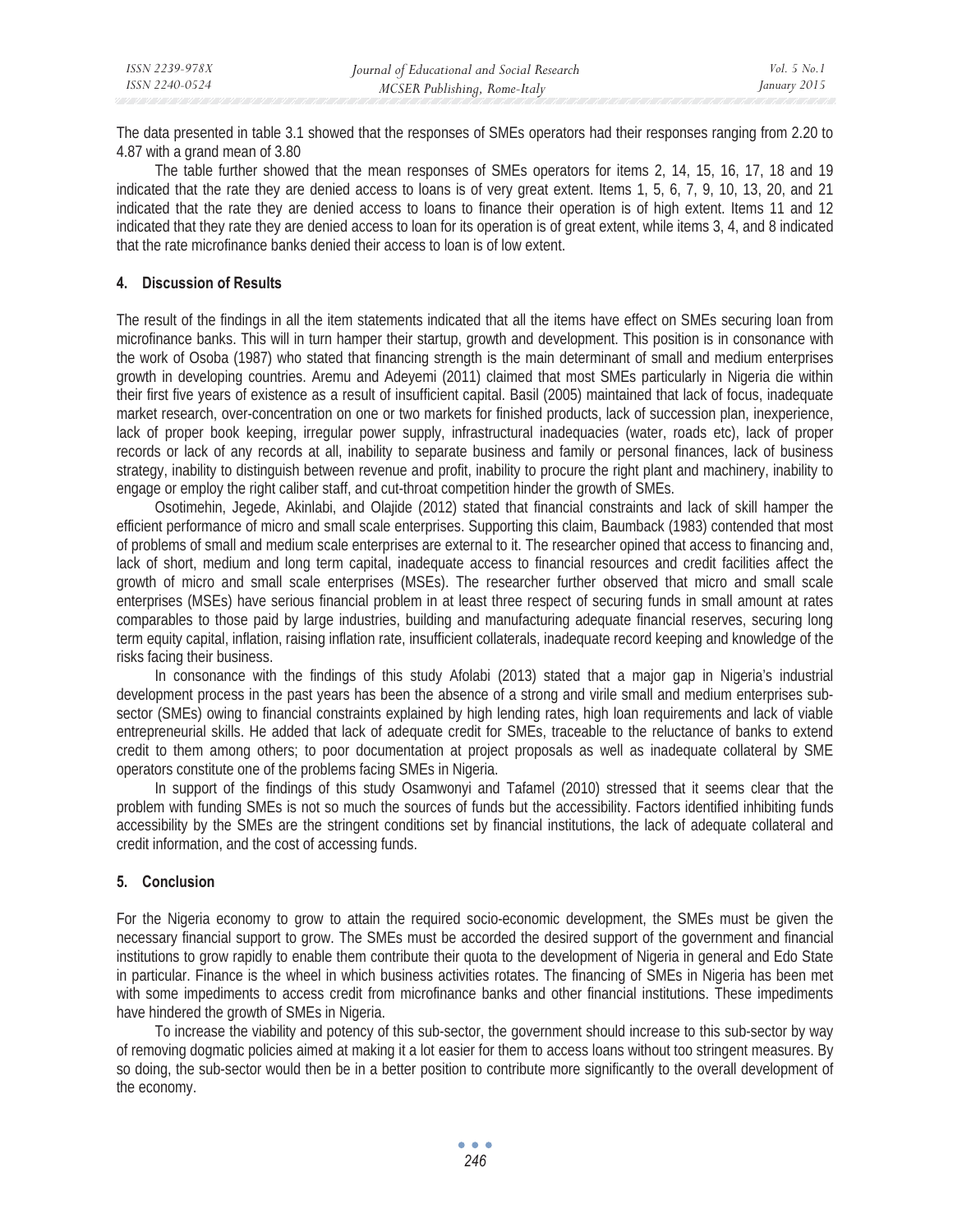The data presented in table 3.1 showed that the responses of SMEs operators had their responses ranging from 2.20 to 4.87 with a grand mean of 3.80

The table further showed that the mean responses of SMEs operators for items 2, 14, 15, 16, 17, 18 and 19 indicated that the rate they are denied access to loans is of very great extent. Items 1, 5, 6, 7, 9, 10, 13, 20, and 21 indicated that the rate they are denied access to loans to finance their operation is of high extent. Items 11 and 12 indicated that they rate they are denied access to loan for its operation is of great extent, while items 3, 4, and 8 indicated that the rate microfinance banks denied their access to loan is of low extent.

# **4. Discussion of Results**

The result of the findings in all the item statements indicated that all the items have effect on SMEs securing loan from microfinance banks. This will in turn hamper their startup, growth and development. This position is in consonance with the work of Osoba (1987) who stated that financing strength is the main determinant of small and medium enterprises growth in developing countries. Aremu and Adeyemi (2011) claimed that most SMEs particularly in Nigeria die within their first five years of existence as a result of insufficient capital. Basil (2005) maintained that lack of focus, inadequate market research, over-concentration on one or two markets for finished products, lack of succession plan, inexperience, lack of proper book keeping, irregular power supply, infrastructural inadequacies (water, roads etc), lack of proper records or lack of any records at all, inability to separate business and family or personal finances, lack of business strategy, inability to distinguish between revenue and profit, inability to procure the right plant and machinery, inability to engage or employ the right caliber staff, and cut-throat competition hinder the growth of SMEs.

Osotimehin, Jegede, Akinlabi, and Olajide (2012) stated that financial constraints and lack of skill hamper the efficient performance of micro and small scale enterprises. Supporting this claim, Baumback (1983) contended that most of problems of small and medium scale enterprises are external to it. The researcher opined that access to financing and, lack of short, medium and long term capital, inadequate access to financial resources and credit facilities affect the growth of micro and small scale enterprises (MSEs). The researcher further observed that micro and small scale enterprises (MSEs) have serious financial problem in at least three respect of securing funds in small amount at rates comparables to those paid by large industries, building and manufacturing adequate financial reserves, securing long term equity capital, inflation, raising inflation rate, insufficient collaterals, inadequate record keeping and knowledge of the risks facing their business.

In consonance with the findings of this study Afolabi (2013) stated that a major gap in Nigeria's industrial development process in the past years has been the absence of a strong and virile small and medium enterprises subsector (SMEs) owing to financial constraints explained by high lending rates, high loan requirements and lack of viable entrepreneurial skills. He added that lack of adequate credit for SMEs, traceable to the reluctance of banks to extend credit to them among others; to poor documentation at project proposals as well as inadequate collateral by SME operators constitute one of the problems facing SMEs in Nigeria.

In support of the findings of this study Osamwonyi and Tafamel (2010) stressed that it seems clear that the problem with funding SMEs is not so much the sources of funds but the accessibility. Factors identified inhibiting funds accessibility by the SMEs are the stringent conditions set by financial institutions, the lack of adequate collateral and credit information, and the cost of accessing funds.

# **5. Conclusion**

For the Nigeria economy to grow to attain the required socio-economic development, the SMEs must be given the necessary financial support to grow. The SMEs must be accorded the desired support of the government and financial institutions to grow rapidly to enable them contribute their quota to the development of Nigeria in general and Edo State in particular. Finance is the wheel in which business activities rotates. The financing of SMEs in Nigeria has been met with some impediments to access credit from microfinance banks and other financial institutions. These impediments have hindered the growth of SMEs in Nigeria.

To increase the viability and potency of this sub-sector, the government should increase to this sub-sector by way of removing dogmatic policies aimed at making it a lot easier for them to access loans without too stringent measures. By so doing, the sub-sector would then be in a better position to contribute more significantly to the overall development of the economy.